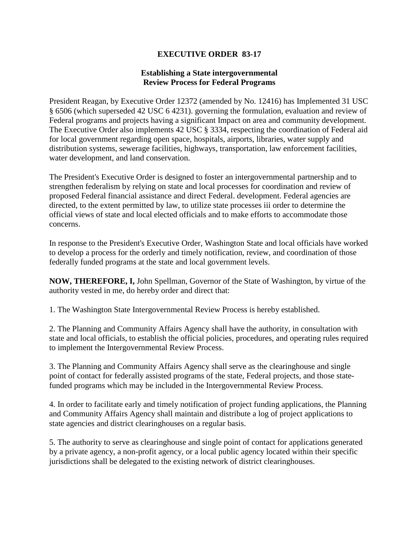## **EXECUTIVE ORDER 83-17**

## **Establishing a State intergovernmental Review Process for Federal Programs**

President Reagan, by Executive Order 12372 (amended by No. 12416) has Implemented 31 USC § 6506 (which superseded 42 USC 6 4231). governing the formulation, evaluation and review of Federal programs and projects having a significant Impact on area and community development. The Executive Order also implements 42 USC § 3334, respecting the coordination of Federal aid for local government regarding open space, hospitals, airports, libraries, water supply and distribution systems, sewerage facilities, highways, transportation, law enforcement facilities, water development, and land conservation.

The President's Executive Order is designed to foster an intergovernmental partnership and to strengthen federalism by relying on state and local processes for coordination and review of proposed Federal financial assistance and direct Federal. development. Federal agencies are directed, to the extent permitted by law, to utilize state processes iii order to determine the official views of state and local elected officials and to make efforts to accommodate those concerns.

In response to the President's Executive Order, Washington State and local officials have worked to develop a process for the orderly and timely notification, review, and coordination of those federally funded programs at the state and local government levels.

**NOW, THEREFORE, I,** John Spellman, Governor of the State of Washington, by virtue of the authority vested in me, do hereby order and direct that:

1. The Washington State Intergovernmental Review Process is hereby established.

2. The Planning and Community Affairs Agency shall have the authority, in consultation with state and local officials, to establish the official policies, procedures, and operating rules required to implement the Intergovernmental Review Process.

3. The Planning and Community Affairs Agency shall serve as the clearinghouse and single point of contact for federally assisted programs of the state, Federal projects, and those statefunded programs which may be included in the Intergovernmental Review Process.

4. In order to facilitate early and timely notification of project funding applications, the Planning and Community Affairs Agency shall maintain and distribute a log of project applications to state agencies and district clearinghouses on a regular basis.

5. The authority to serve as clearinghouse and single point of contact for applications generated by a private agency, a non-profit agency, or a local public agency located within their specific jurisdictions shall be delegated to the existing network of district clearinghouses.